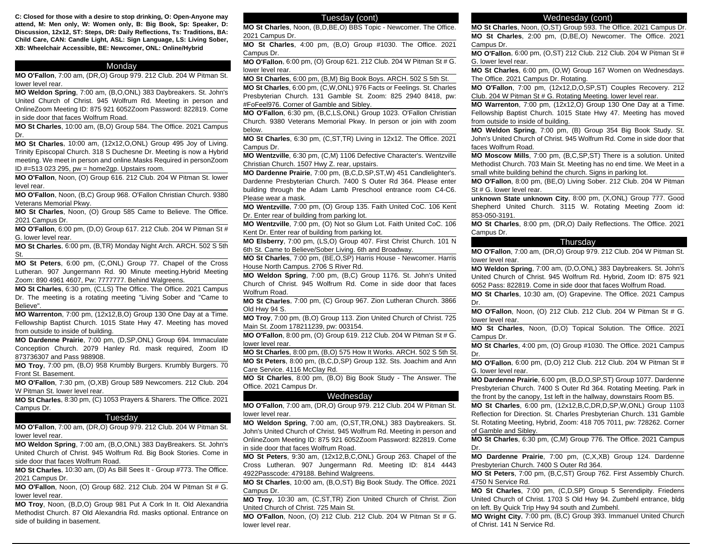**C: Closed for those with a desire to stop drinking, O: Open-Anyone may attend, M: Men only, W: Women only, B: Big Book, Sp: Speaker, D: Discussion, 12x12, ST: Steps, DR: Daily Reflections, Ts: Traditions, BA: Child Care, CAN: Candle Light, ASL: Sign Language, LS: Living Sober, XB: Wheelchair Accessible, BE: Newcomer, ONL: Online/Hybrid**

## Monday

**MO O'Fallon**, 7:00 am, (DR,O) Group 979. 212 Club. 204 W Pitman St. lower level rear.

**MO Weldon Spring**, 7:00 am, (B,O,ONL) 383 Daybreakers. St. John's United Church of Christ. 945 Wolfrum Rd. Meeting in person and OnlineZoom Meeting ID: 875 921 6052Zoom Password: 822819. Come in side door that faces Wolfrum Road.

**MO St Charles**, 10:00 am, (B,O) Group 584. The Office. 2021 Campus Dr.

**MO St Charles**, 10:00 am, (12x12,O,ONL) Group 495 Joy of Living. Trinity Episcopal Church. 318 S Duchesne Dr. Meeting is now a Hybrid meeting. We meet in person and online.Masks Required in personZoom ID #=513 023 295, pw = home2gp. Upstairs room.

**MO O'Fallon**, Noon, (O) Group 616. 212 Club. 204 W Pitman St. lower level rear.

**MO O'Fallon**, Noon, (B,C) Group 968. O'Fallon Christian Church. 9380 Veterans Memorial Pkwy.

**MO St Charles**, Noon, (O) Group 585 Came to Believe. The Office. 2021 Campus Dr.

**MO O'Fallon**, 6:00 pm, (D,O) Group 617. 212 Club. 204 W Pitman St # G. lower level rear.

**MO St Charles**, 6:00 pm, (B,TR) Monday Night Arch. ARCH. 502 S 5th St.

**MO St Peters**, 6:00 pm, (C,ONL) Group 77. Chapel of the Cross Lutheran. 907 Jungermann Rd. 90 Minute meeting.Hybrid Meeting Zoom: 890 4961 4607, Pw: 7777777. Behind Walgreens.

**MO St Charles**, 6:30 pm, (C,LS) The Office. The Office. 2021 Campus Dr. The meeting is a rotating meeting "Living Sober and "Came to Believe".

**MO Warrenton**, 7:00 pm, (12x12,B,O) Group 130 One Day at a Time. Fellowship Baptist Church. 1015 State Hwy 47. Meeting has moved from outside to inside of building.

**MO Dardenne Prairie**, 7:00 pm, (D,SP,ONL) Group 694. Immaculate Conception Church. 2079 Hanley Rd. mask required, Zoom ID 873736307 and Pass 988908.

**MO Troy**, 7:00 pm, (B,O) 958 Krumbly Burgers. Krumbly Burgers. 70 Front St. Basement.

**MO O'Fallon**, 7:30 pm, (O,XB) Group 589 Newcomers. 212 Club. 204 W Pitman St. lower level rear.

**MO St Charles**, 8:30 pm, (C) 1053 Prayers & Sharers. The Office. 2021 Campus Dr.

#### **Tuesday**

**MO O'Fallon**, 7:00 am, (DR,O) Group 979. 212 Club. 204 W Pitman St. lower level rear.

**MO Weldon Spring**, 7:00 am, (B,O,ONL) 383 DayBreakers. St. John's United Church of Christ. 945 Wolfrum Rd. Big Book Stories. Come in side door that faces Wolfrum Road.

**MO St Charles**, 10:30 am, (D) As Bill Sees It - Group #773. The Office. 2021 Campus Dr.

**MO O'Fallon**, Noon, (O) Group 682. 212 Club. 204 W Pitman St # G. lower level rear.

**MO Troy**, Noon, (B,D,O) Group 981 Put A Cork In It. Old Alexandria Methodist Church. 87 Old Alexandria Rd. masks optional. Entrance on side of building in basement.

# Tuesday (cont)

**MO St Charles**, Noon, (B,D,BE,O) BBS Topic - Newcomer. The Office. 2021 Campus Dr.

**MO St Charles**, 4:00 pm, (B,O) Group #1030. The Office. 2021 Campus Dr.

**MO O'Fallon**, 6:00 pm, (O) Group 621. 212 Club. 204 W Pitman St # G. lower level rear.

**MO St Charles**, 6:00 pm, (B,M) Big Book Boys. ARCH. 502 S 5th St.

**MO St Charles**, 6:00 pm, (C,W,ONL) 976 Facts or Feelings. St. Charles Presbyterian Church. 131 Gamble St. Zoom: 825 2940 8418, pw: #FoFeel976. Corner of Gamble and Sibley.

**MO O'Fallon**, 6:30 pm, (B,C,LS,ONL) Group 1023. O'Fallon Christian Church. 9380 Veterans Memorial Pkwy. In person or join with zoom below.

**MO St Charles**, 6:30 pm, (C,ST,TR) Living in 12x12. The Office. 2021 Campus Dr.

**MO Wentzville**, 6:30 pm, (C,M) 1106 Defective Character's. Wentzville Christian Church. 1507 Hwy Z. rear, upstairs.

**MO Dardenne Prairie**, 7:00 pm, (B,C,D,SP,ST,W) 451 Candlelighter's. Dardenne Presbyterian Church. 7400 S Outer Rd 364. Please enter building through the Adam Lamb Preschool entrance room C4-C6. Please wear a mask.

**MO Wentzville**, 7:00 pm, (O) Group 135. Faith United CoC. 106 Kent Dr. Enter rear of building from parking lot.

**MO Wentzville**, 7:00 pm, (O) Not so Glum Lot. Faith United CoC. 106 Kent Dr. Enter rear of building from parking lot.

**MO Elsberry**, 7:00 pm, (LS,O) Group 407. First Christ Church. 101 N 6th St. Came to Believe/Sober Living. 6th and Broadway.

**MO St Charles**, 7:00 pm, (BE,O,SP) Harris House - Newcomer. Harris House North Campus. 2706 S River Rd.

**MO Weldon Spring**, 7:00 pm, (B,C) Group 1176. St. John's United Church of Christ. 945 Wolfrum Rd. Come in side door that faces Wolfrum Road.

**MO St Charles**, 7:00 pm, (C) Group 967. Zion Lutheran Church. 3866 Old Hwy 94 S.

**MO Troy**, 7:00 pm, (B,O) Group 113. Zion United Church of Christ. 725 Main St. Zoom 178211239, pw: 003154.

**MO O'Fallon**, 8:00 pm, (O) Group 619. 212 Club. 204 W Pitman St # G. lower level rear.

**MO St Charles**, 8:00 pm, (B,O) 575 How It Works. ARCH. 502 S 5th St. **MO St Peters**, 8:00 pm, (B,C,D,SP) Group 132. Sts. Joachim and Ann Care Service. 4116 McClay Rd.

**MO St Charles**, 8:00 pm, (B,O) Big Book Study - The Answer. The Office. 2021 Campus Dr.

### Wednesday

**MO O'Fallon**, 7:00 am, (DR,O) Group 979. 212 Club. 204 W Pitman St. lower level rear.

**MO Weldon Spring**, 7:00 am, (O,ST,TR,ONL) 383 Daybreakers. St. John's United Church of Christ. 945 Wolfrum Rd. Meeting in person and OnlineZoom Meeting ID: 875 921 6052Zoom Password: 822819. Come in side door that faces Wolfrum Road.

**MO St Peters**, 9:30 am, (12x12,B,C,ONL) Group 263. Chapel of the Cross Lutheran. 907 Jungermann Rd. Meeting ID: 814 4443 4922Passcode: 479188. Behind Walgreens.

**MO St Charles**, 10:00 am, (B,O,ST) Big Book Study. The Office. 2021 Campus Dr.

**MO Troy**, 10:30 am, (C,ST,TR) Zion United Church of Christ. Zion United Church of Christ. 725 Main St.

**MO O'Fallon**, Noon, (O) 212 Club. 212 Club. 204 W Pitman St # G. lower level rear.

### Wednesday (cont)

**MO St Charles**, Noon, (O,ST) Group 593. The Office. 2021 Campus Dr. **MO St Charles**, 2:00 pm, (D,BE,O) Newcomer. The Office. 2021 Campus Dr.

**MO O'Fallon**, 6:00 pm, (O,ST) 212 Club. 212 Club. 204 W Pitman St # G. lower level rear.

**MO St Charles**, 6:00 pm, (O,W) Group 167 Women on Wednesdays. The Office. 2021 Campus Dr. Rotating.

**MO O'Fallon**, 7:00 pm, (12x12,D,O,SP,ST) Couples Recovery. 212 Club. 204 W Pitman St # G. Rotating Meeting. lower level rear.

**MO Warrenton**, 7:00 pm, (12x12,O) Group 130 One Day at a Time. Fellowship Baptist Church. 1015 State Hwy 47. Meeting has moved from outside to inside of building.

**MO Weldon Spring**, 7:00 pm, (B) Group 354 Big Book Study. St. John's United Church of Christ. 945 Wolfrum Rd. Come in side door that faces Wolfrum Road.

**MO Moscow Mills**, 7:00 pm, (B,C,SP,ST) There is a solution. United Methodist Church. 703 Main St. Meeting has no end time. We Meet in a small white building behind the church. Signs in parking lot.

**MO O'Fallon**, 8:00 pm, (BE,O) Living Sober. 212 Club. 204 W Pitman St # G. lower level rear.

**unknown State unknown City**, 8:00 pm, (X,ONL) Group 777. Good Shepherd United Church. 3115 W. Rotating Meeting Zoom id: 853-050-3191.

**MO St Charles**, 8:00 pm, (DR,O) Daily Reflections. The Office. 2021 Campus Dr.

#### **Thursday**

**MO O'Fallon**, 7:00 am, (DR,O) Group 979. 212 Club. 204 W Pitman St. lower level rear.

**MO Weldon Spring**, 7:00 am, (D,O,ONL) 383 Daybreakers. St. John's United Church of Christ. 945 Wolfrum Rd. Hybrid, Zoom ID: 875 921 6052 Pass: 822819. Come in side door that faces Wolfrum Road.

**MO St Charles**, 10:30 am, (O) Grapevine. The Office. 2021 Campus Dr.

**MO O'Fallon**, Noon, (O) 212 Club. 212 Club. 204 W Pitman St # G. lower level rear.

**MO St Charles**, Noon, (D,O) Topical Solution. The Office. 2021 Campus Dr.

**MO St Charles**, 4:00 pm, (O) Group #1030. The Office. 2021 Campus Dr.

**MO O'Fallon**, 6:00 pm, (D,O) 212 Club. 212 Club. 204 W Pitman St # G. lower level rear.

**MO Dardenne Prairie**, 6:00 pm, (B,D,O,SP,ST) Group 1077. Dardenne Presbyterian Church. 7400 S Outer Rd 364. Rotating Meeting. Park in the front by the canopy, 1st left in the hallway, downstairs Room B5.

**MO St Charles**, 6:00 pm, (12x12,B,C,DR,D,SP,W,ONL) Group 1103 Reflection for Direction. St. Charles Presbyterian Church. 131 Gamble St. Rotating Meeting, Hybrid, Zoom: 418 705 7011, pw: 728262. Corner of Gamble and Sibley.

**MO St Charles**, 6:30 pm, (C,M) Group 776. The Office. 2021 Campus Dr.

**MO Dardenne Prairie**, 7:00 pm, (C,X,XB) Group 124. Dardenne Presbyterian Church. 7400 S Outer Rd 364.

**MO St Peters**, 7:00 pm, (B,C,ST) Group 762. First Assembly Church. 4750 N Service Rd.

**MO St Charles**, 7:00 pm, (C,D,SP) Group 5 Serendipity. Friedens United Church of Christ. 1703 S Old Hwy 94. Zumbehl entrance, bldg on left. By Quick Trip Hwy 94 south and Zumbehl.

**MO Wright City**, 7:00 pm, (B,C) Group 393. Immanuel United Church of Christ. 141 N Service Rd.